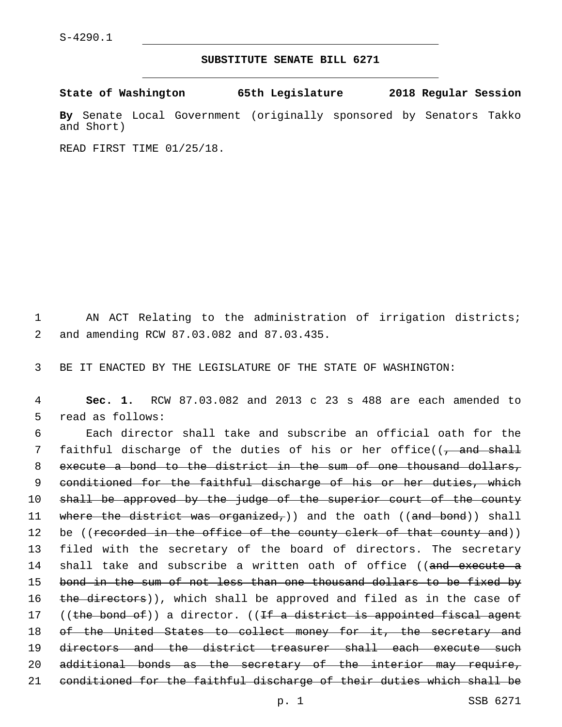## **SUBSTITUTE SENATE BILL 6271**

**State of Washington 65th Legislature 2018 Regular Session**

**By** Senate Local Government (originally sponsored by Senators Takko and Short)

READ FIRST TIME 01/25/18.

1 AN ACT Relating to the administration of irrigation districts; and amending RCW 87.03.082 and 87.03.435.2

3 BE IT ENACTED BY THE LEGISLATURE OF THE STATE OF WASHINGTON:

4 **Sec. 1.** RCW 87.03.082 and 2013 c 23 s 488 are each amended to 5 read as follows:

6 Each director shall take and subscribe an official oath for the 7 faithful discharge of the duties of his or her office((, and shall 8 execute a bond to the district in the sum of one thousand dollars, 9 conditioned for the faithful discharge of his or her duties, which 10 shall be approved by the judge of the superior court of the county 11 where the district was organized,)) and the oath ((and bond)) shall 12 be ((recorded in the office of the county clerk of that county and)) 13 filed with the secretary of the board of directors. The secretary 14 shall take and subscribe a written oath of office ((and execute a 15 bond in the sum of not less than one thousand dollars to be fixed by 16 the directors)), which shall be approved and filed as in the case of 17 ((the bond of)) a director. ((If a district is appointed fiscal agent 18 of the United States to collect money for it, the secretary and 19 directors and the district treasurer shall each execute such 20 additional bonds as the secretary of the interior may require, 21 conditioned for the faithful discharge of their duties which shall be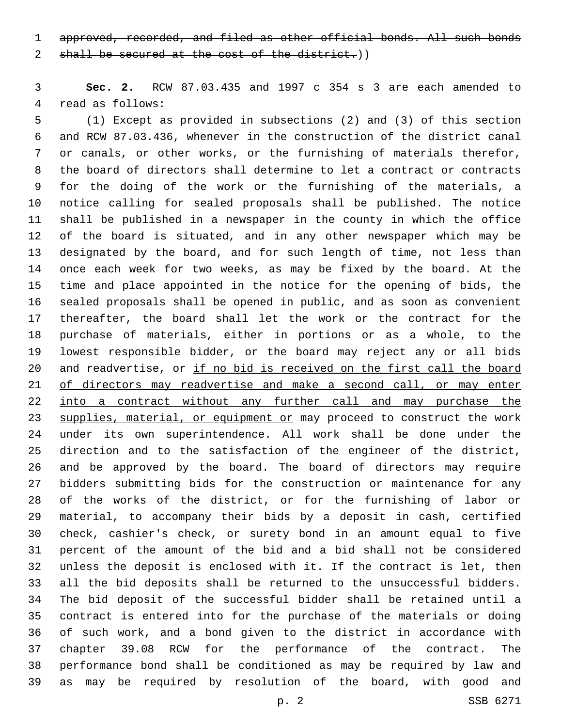approved, recorded, and filed as other official bonds. All such bonds

2 shall be secured at the cost of the district.))

 **Sec. 2.** RCW 87.03.435 and 1997 c 354 s 3 are each amended to 4 read as follows:

 (1) Except as provided in subsections (2) and (3) of this section and RCW 87.03.436, whenever in the construction of the district canal or canals, or other works, or the furnishing of materials therefor, the board of directors shall determine to let a contract or contracts for the doing of the work or the furnishing of the materials, a notice calling for sealed proposals shall be published. The notice shall be published in a newspaper in the county in which the office of the board is situated, and in any other newspaper which may be designated by the board, and for such length of time, not less than once each week for two weeks, as may be fixed by the board. At the time and place appointed in the notice for the opening of bids, the sealed proposals shall be opened in public, and as soon as convenient thereafter, the board shall let the work or the contract for the purchase of materials, either in portions or as a whole, to the lowest responsible bidder, or the board may reject any or all bids 20 and readvertise, or if no bid is received on the first call the board of directors may readvertise and make a second call, or may enter 22 into a contract without any further call and may purchase the 23 supplies, material, or equipment or may proceed to construct the work under its own superintendence. All work shall be done under the direction and to the satisfaction of the engineer of the district, and be approved by the board. The board of directors may require bidders submitting bids for the construction or maintenance for any of the works of the district, or for the furnishing of labor or material, to accompany their bids by a deposit in cash, certified check, cashier's check, or surety bond in an amount equal to five percent of the amount of the bid and a bid shall not be considered unless the deposit is enclosed with it. If the contract is let, then all the bid deposits shall be returned to the unsuccessful bidders. The bid deposit of the successful bidder shall be retained until a contract is entered into for the purchase of the materials or doing of such work, and a bond given to the district in accordance with chapter 39.08 RCW for the performance of the contract. The performance bond shall be conditioned as may be required by law and as may be required by resolution of the board, with good and